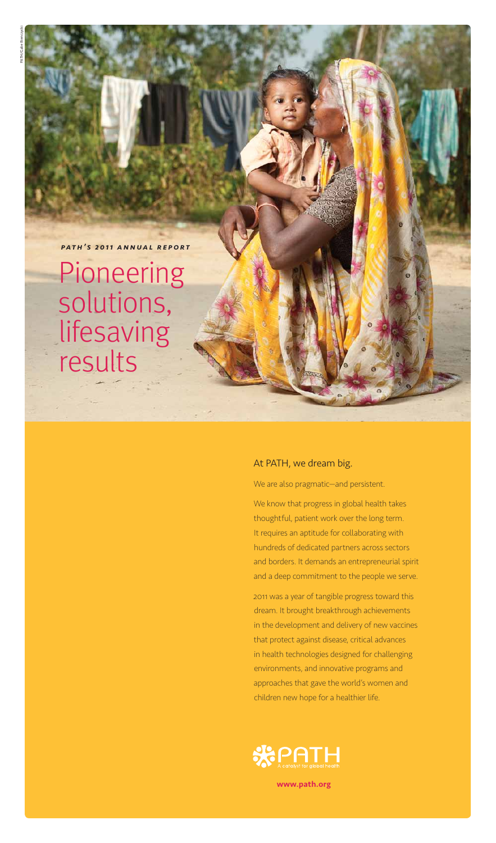# At PATH, we dream big.

We are also pragmatic—and persistent.

We know that progress in global health takes thoughtful, patient work over the long term. It requires an aptitude for collaborating with hundreds of dedicated partners across sectors and borders. It demands an entrepreneurial spirit and a deep commitment to the people we serve.

2011 was a year of tangible progress toward this dream. It brought breakthrough achievements

in the development and delivery of new vaccines that protect against disease, critical advances in health technologies designed for challenging environments, and innovative programs and approaches that gave the world's women and children new hope for a healthier life.



# *path's 2011 annual report*

Pioneering solutions, lifesaving results

www.path.org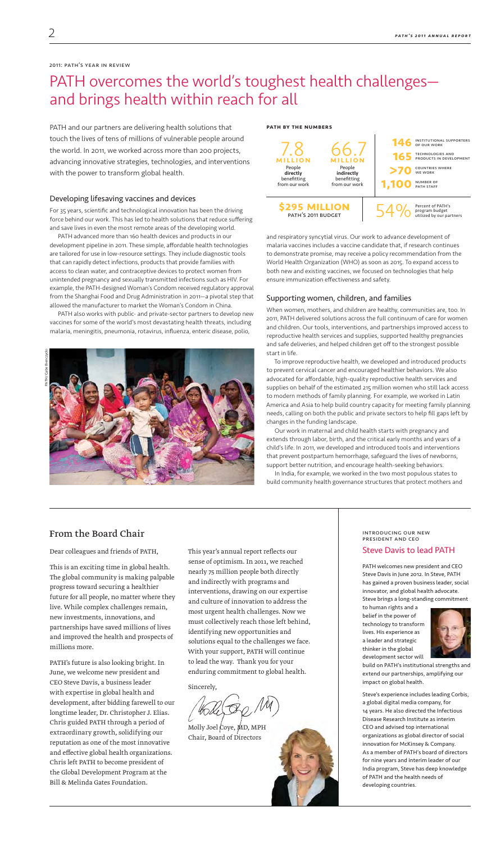# PATH overcomes the world's toughest health challenges and brings health within reach for all

PATH and our partners are delivering health solutions that touch the lives of tens of millions of vulnerable people around the world. In 2011, we worked across more than 200 projects, advancing innovative strategies, technologies, and interventions with the power to transform global health.

#### Developing lifesaving vaccines and devices

For 35 years, scientific and technological innovation has been the driving force behind our work. This has led to health solutions that reduce suffering and save lives in even the most remote areas of the developing world.

PATH advanced more than 160 health devices and products in our development pipeline in 2011. These simple, affordable health technologies are tailored for use in low-resource settings. They include diagnostic tools that can rapidly detect infections, products that provide families with access to clean water, and contraceptive devices to protect women from unintended pregnancy and sexually transmitted infections such as HIV. For example, the PATH-designed Woman's Condom received regulatory approval from the Shanghai Food and Drug Administration in 2011—a pivotal step that allowed the manufacturer to market the Woman's Condom in China.

PATH also works with public- and private-sector partners to develop new vaccines for some of the world's most devastating health threats, including malaria, meningitis, pneumonia, rotavirus, influenza, enteric disease, polio,

and respiratory syncytial virus. Our work to advance development of malaria vaccines includes a vaccine candidate that, if research continues to demonstrate promise, may receive a policy recommendation from the World Health Organization (WHO) as soon as 2015. To expand access to both new and existing vaccines, we focused on technologies that help ensure immunization effectiveness and safety.

## Supporting women, children, and families

When women, mothers, and children are healthy, communities are, too. In 2011, PATH delivered solutions across the full continuum of care for women and children. Our tools, interventions, and partnerships improved access to reproductive health services and supplies, supported healthy pregnancies and safe deliveries, and helped children get off to the strongest possible start in life.

To improve reproductive health, we developed and introduced products to prevent cervical cancer and encouraged healthier behaviors. We also advocated for affordable, high-quality reproductive health services and supplies on behalf of the estimated 215 million women who still lack access to modern methods of family planning. For example, we worked in Latin America and Asia to help build country capacity for meeting family planning needs, calling on both the public and private sectors to help fill gaps left by changes in the funding landscape.

Molly Joel Coye,  $MD$ , MPH Chair, Board of Directors



Our work in maternal and child health starts with pregnancy and extends through labor, birth, and the critical early months and years of a child's life. In 2011, we developed and introduced tools and interventions that prevent postpartum hemorrhage, safeguard the lives of newborns, support better nutrition, and encourage health-seeking behaviors.

In India, for example, we worked in the two most populous states to build community health governance structures that protect mothers and

#### path by the numbers



#### 2011: path's year in review

# From the Board Chair

Dear colleagues and friends of PATH,

This is an exciting time in global health. The global community is making palpable progress toward securing a healthier future for all people, no matter where they live. While complex challenges remain, new investments, innovations, and partnerships have saved millions of lives and improved the health and prospects of millions more.

PATH's future is also looking bright. In June, we welcome new president and CEO Steve Davis, a business leader with expertise in global health and development, after bidding farewell to our longtime leader, Dr. Christopher J. Elias. Chris guided PATH through a period of extraordinary growth, solidifying our reputation as one of the most innovative and effective global health organizations. Chris left PATH to become president of the Global Development Program at the Bill & Melinda Gates Foundation.



This year's annual report reflects our sense of optimism. In 2011, we reached nearly 75 million people both directly and indirectly with programs and interventions, drawing on our expertise and culture of innovation to address the most urgent health challenges. Now we must collectively reach those left behind, identifying new opportunities and solutions equal to the challenges we face. With your support, PATH will continue to lead the way. Thank you for your enduring commitment to global health.

Sincerely,

introducing our new president and ceo

# Steve Davis to lead PATH

PATH welcomes new president and CEO Steve Davis in June 2012. In Steve, PATH has gained a proven business leader, social innovator, and global health advocate. Steve brings a long-standing commitment

to human rights and a belief in the power of



technology to transform lives. His experience as a leader and strategic thinker in the global development sector will

build on PATH's institutional strengths and extend our partnerships, amplifying our impact on global health.

Steve's experience includes leading Corbis, a global digital media company, for 14 years. He also directed the Infectious Disease Research Institute as interim CEO and advised top international organizations as global director of social innovation for McKinsey & Company. As a member of PATH's board of directors for nine years and interim leader of our India program, Steve has deep knowledge of PATH and the health needs of developing countries.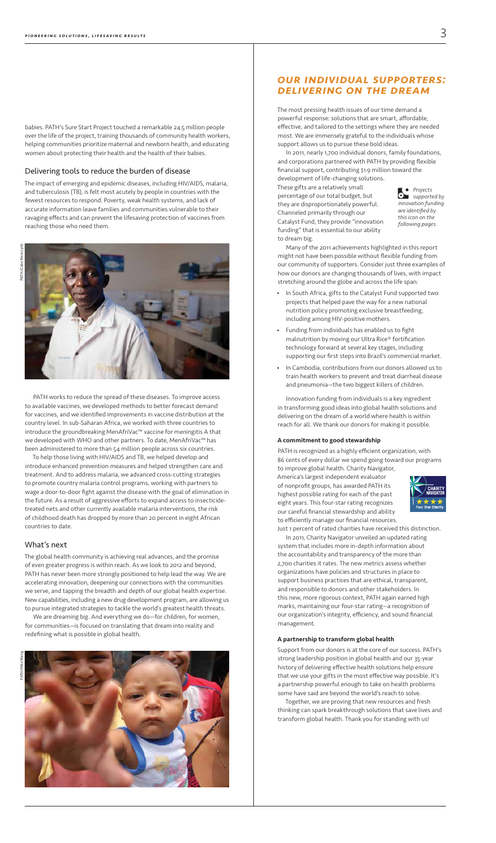# *Our individual supporters: Delivering on the dream*

The most pressing health issues of our time demand a powerful response: solutions that are smart, affordable, effective, and tailored to the settings where they are needed most. We are immensely grateful to the individuals whose support allows us to pursue these bold ideas.

In 2011, nearly 1,700 individual donors, family foundations, and corporations partnered with PATH by providing flexible financial support, contributing \$1.9 million toward the

development of life-changing solutions. These gifts are a relatively small percentage of our total budget, but they are disproportionately powerful. Channeled primarily through our Catalyst Fund, they provide "innovation funding" that is essential to our ability to dream big.

- In South Africa, gifts to the Catalyst Fund supported two projects that helped pave the way for a new national nutrition policy promoting exclusive breastfeeding, including among HIV-positive mothers.
- Funding from individuals has enabled us to fight malnutrition by moving our Ultra Rice® fortification technology forward at several key stages, including supporting our first steps into Brazil's commercial market.
- In Cambodia, contributions from our donors allowed us to train health workers to prevent and treat diarrheal disease and pneumonia—the two biggest killers of children.

Many of the 2011 achievements highlighted in this report might not have been possible without flexible funding from our community of supporters. Consider just three examples of how our donors are changing thousands of lives, with impact stretching around the globe and across the life span:

Innovation funding from individuals is a key ingredient in transforming good ideas into global health solutions and delivering on the dream of a world where health is within reach for all. We thank our donors for making it possible.

#### A commitment to good stewardship

PATH is recognized as a highly efficient organization, with 86 cents of every dollar we spend going toward our programs to improve global health. Charity Navigator,



America's largest independent evaluator of nonprofit groups, has awarded PATH its highest possible rating for each of the past eight years. This four-star rating recognizes our careful financial stewardship and ability to efficiently manage our financial resources.



Just 1 percent of rated charities have received this distinction.

In 2011, Charity Navigator unveiled an updated rating system that includes more in-depth information about the accountability and transparency of the more than 2,700 charities it rates. The new metrics assess whether organizations have policies and structures in place to support business practices that are ethical, transparent, and responsible to donors and other stakeholders. In this new, more rigorous context, PATH again earned high marks, maintaining our four-star rating—a recognition of our organization's integrity, efficiency, and sound financial

management.

#### A partnership to transform global health

Support from our donors is at the core of our success. PATH's strong leadership position in global health and our 35-year history of delivering effective health solutions help ensure that we use your gifts in the most effective way possible. It's a partnership powerful enough to take on health problems some have said are beyond the world's reach to solve.

Together, we are proving that new resources and fresh thinking can spark breakthrough solutions that save lives and transform global health. Thank you for standing with us!

babies. PATH's Sure Start Project touched a remarkable 24.5 million people over the life of the project, training thousands of community health workers, helping communities prioritize maternal and newborn health, and educating women about protecting their health and the health of their babies.

#### Delivering tools to reduce the burden of disease

The impact of emerging and epidemic diseases, including HIV/AIDS, malaria, and tuberculosis (TB), is felt most acutely by people in countries with the fewest resources to respond. Poverty, weak health systems, and lack of accurate information leave families and communities vulnerable to their ravaging effects and can prevent the lifesaving protection of vaccines from reaching those who need them.



PATH works to reduce the spread of these diseases. To improve access to available vaccines, we developed methods to better forecast demand for vaccines, and we identified improvements in vaccine distribution at the country level. In sub-Saharan Africa, we worked with three countries to introduce the groundbreaking MenAfriVac™ vaccine for meningitis A that we developed with WHO and other partners. To date, MenAfriVac™ has been administered to more than 54 million people across six countries.

To help those living with HIV/AIDS and TB, we helped develop and introduce enhanced prevention measures and helped strengthen care and treatment. And to address malaria, we advanced cross-cutting strategies to promote country malaria control programs, working with partners to wage a door-to-door fight against the disease with the goal of elimination in the future. As a result of aggressive efforts to expand access to insecticidetreated nets and other currently available malaria interventions, the risk of childhood death has dropped by more than 20 percent in eight African countries to date.

## What's next

The global health community is achieving real advances, and the promise of even greater progress is within reach. As we look to 2012 and beyond, PATH has never been more strongly positioned to help lead the way. We are accelerating innovation, deepening our connections with the communities we serve, and tapping the breadth and depth of our global health expertise. New capabilities, including a new drug development program, are allowing us to pursue integrated strategies to tackle the world's greatest health threats.

We are dreaming big. And everything we do—for children, for women, for communities—is focused on translating that dream into reality and redefining what is possible in global health.

*Projects supported by innovation funding are identified by this icon on the following pages.*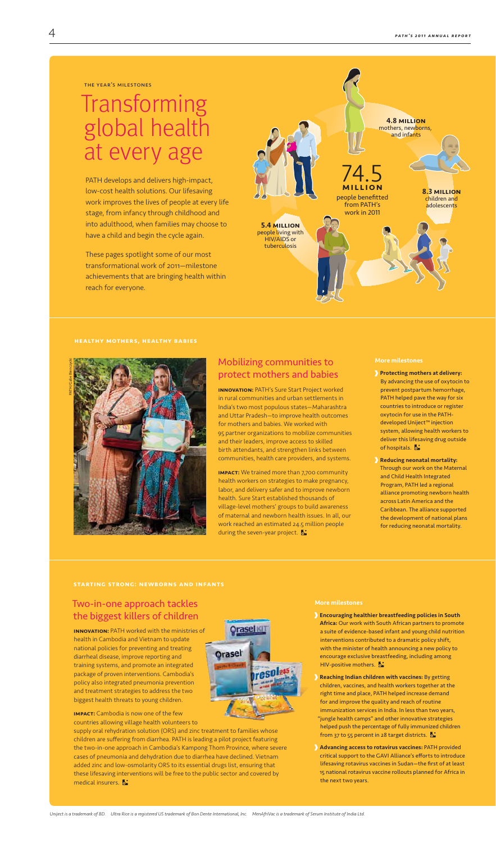Starting strong: newborns and infants

Two-in-one approach tackles the biggest killers of children



**IMPACT:** Cambodia is now one of the few countries allowing village health volunteers to

supply oral rehydration solution (ORS) and zinc treatment to families whose children are suffering from diarrhea. PATH is leading a pilot project featuring the two-in-one approach in Cambodia's Kampong Thom Province, where severe cases of pneumonia and dehydration due to diarrhea have declined. Vietnam added zinc and low-osmolarity ORS to its essential drugs list, ensuring that these lifesaving interventions will be free to the public sector and covered by medical insurers.

Africa: Our work with South African partners to promote a suite of evidence-based infant and young child nutrition interventions contributed to a dramatic policy shift, with the minister of health announcing a new policy to encourage exclusive breastfeeding, including among HIV-positive mothers.

Innovation: PATH worked with the ministries of health in Cambodia and Vietnam to update national policies for preventing and treating diarrheal disease, improve reporting and training systems, and promote an integrated package of proven interventions. Cambodia's policy also integrated pneumonia prevention and treatment strategies to address the two biggest health threats to young children.

*Uniject is a trademark of BD. Ultra Rice is a registered US trademark of Bon Dente International, Inc. MenAfriVac is a trademark of Serum Institute of India Ltd.*

# Mobilizing communities to protect mothers and babies

- Protecting mothers at delivery: By advancing the use of oxytocin to prevent postpartum hemorrhage, PATH helped pave the way for six countries to introduce or register oxytocin for use in the PATHdeveloped Uniject™ injection system, allowing health workers to deliver this lifesaving drug outside of hospitals.
- Reducing neonatal mortality: Through our work on the Maternal and Child Health Integrated Program, PATH led a regional alliance promoting newborn health across Latin America and the Caribbean. The alliance supported the development of national plans for reducing neonatal mortality.

Innovation: PATH's Sure Start Project worked in rural communities and urban settlements in India's two most populous states—Maharashtra and Uttar Pradesh—to improve health outcomes for mothers and babies. We worked with 95 partner organizations to mobilize communities and their leaders, improve access to skilled birth attendants, and strengthen links between communities, health care providers, and systems.

**IMPACT:** We trained more than 7,700 community health workers on strategies to make pregnancy, labor, and delivery safer and to improve newborn health. Sure Start established thousands of village-level mothers' groups to build awareness of maternal and newborn health issues. In all, our work reached an estimated 24.5 million people during the seven-year project.

> Reaching Indian children with vaccines: By getting children, vaccines, and health workers together at the right time and place, PATH helped increase demand for and improve the quality and reach of routine immunization services in India. In less than two years, "jungle health camps" and other innovative strategies helped push the percentage of fully immunized children from 37 to 55 percent in 28 target districts.  $\mathbf{\mathbb{S}}$

More milestones

More milestones

Encouraging healthier breastfeeding policies in South

Advancing access to rotavirus vaccines: PATH provided critical support to the GAVI Alliance's efforts to introduce lifesaving rotavirus vaccines in Sudan—the first of at least 15 national rotavirus vaccine rollouts planned for Africa in the next two years.

PATH develops and delivers high-impact, low-cost health solutions. Our lifesaving work improves the lives of people at every life stage, from infancy through childhood and into adulthood, when families may choose to have a child and begin the cycle again.

These pages spotlight some of our most transformational work of 2011—milestone achievements that are bringing health within reach for everyone.

# Transforming global health at every age





the year's milestones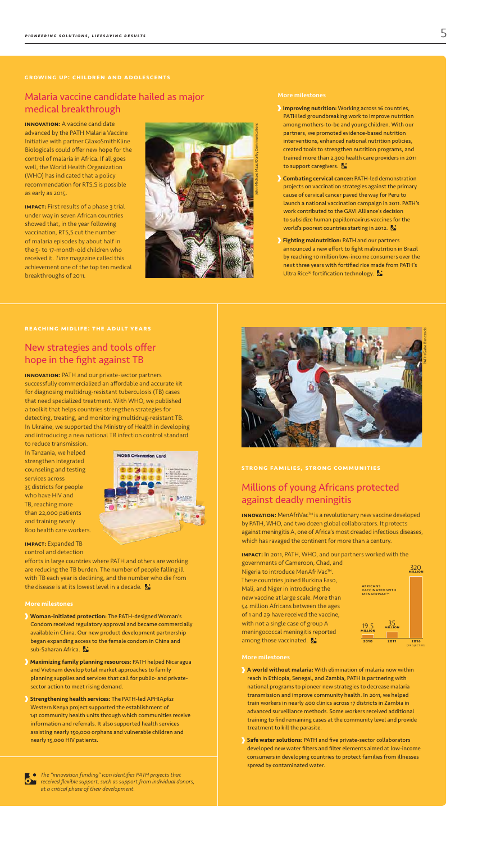# Millions of young Africans protected against deadly meningitis

**INNOVATION:** MenAfriVac™ is a revolutionary new vaccine developed by PATH, WHO, and two dozen global collaborators. It protects against meningitis A, one of Africa's most dreaded infectious diseases, which has ravaged the continent for more than a century.

with not a single case of group A meningococcal meningitis reported among those vaccinated.

Impact: In 2011, PATH, WHO, and our partners worked with the governments of Cameroon, Chad, and Nigeria to introduce MenAfriVac™.

These countries joined Burkina Faso, Mali, and Niger in introducing the new vaccine at large scale. More than 54 million Africans between the ages of 1 and 29 have received the vaccine,

#### More milestones

**INNOVATION:** A vaccine candidate advanced by the PATH Malaria Vaccine

**IMPACT:** First results of a phase 3 trial under way in seven African countries showed that, in the year following vaccination, RTS,S cut the number of malaria episodes by about half in the 5- to 17-month-old children who received it. *Time* magazine called this achievement one of the top ten medical breakthroughs of 2011.

- A world without malaria: With elimination of malaria now within reach in Ethiopia, Senegal, and Zambia, PATH is partnering with national programs to pioneer new strategies to decrease malaria transmission and improve community health. In 2011, we helped train workers in nearly 400 clinics across 17 districts in Zambia in advanced surveillance methods. Some workers received additional training to find remaining cases at the community level and provide treatment to kill the parasite.
- Safe water solutions: PATH and five private-sector collaborators developed new water filters and filter elements aimed at low-income consumers in developing countries to protect families from illnesses spread by contaminated water.

# Growing up: children and adolescents

# Malaria vaccine candidate hailed as major medical breakthrough

Initiative with partner GlaxoSmithKline Biologicals could offer new hope for the control of malaria in Africa. If all goes well, the World Health Organization (WHO) has indicated that a policy recommendation for RTS,S is possible as early as 2015.

**INNOVATION:** PATH and our private-sector partners successfully commercialized an affordable and accurate kit for diagnosing multidrug-resistant tuberculosis (TB) cases that need specialized treatment. With WHO, we published a toolkit that helps countries strengthen strategies for detecting, treating, and monitoring multidrug-resistant TB. In Ukraine, we supported the Ministry of Health in developing and introducing a new national TB infection control standard

efforts in large countries where PATH and others are working are reducing the TB burden. The number of people falling ill with TB each year is declining, and the number who die from the disease is at its lowest level in a decade.

Condom received regulatory approval and became commercially available in China. Our new product development partnership began expanding access to the female condom in China and sub-Saharan Africa.

# New strategies and tools offer hope in the fight against TB

to reduce transmission. In Tanzania, we helped strengthen integrated counseling and testing services across 35 districts for people who have HIV and TB, reaching more than 22,000 patients and training nearly 800 health care workers.



Impact: Expanded TB control and detection

#### More milestones

Woman-initiated protection: The PATH-designed Woman's

- Maximizing family planning resources: PATH helped Nicaragua and Vietnam develop total market approaches to family planning supplies and services that call for public- and privatesector action to meet rising demand.
- Strengthening health services: The PATH-led APHIA*plus* Western Kenya project supported the establishment of 141 community health units through which communities receive information and referrals. It also supported health services assisting nearly 150,000 orphans and vulnerable children and nearly 15,000 HIV patients.





AFRICANS<br>VACCINATED WITH<br>MENAFRIVAC™



*The "innovation funding" icon identifies PATH projects that received flexible support, such as support from individual donors, at a critical phase of their development.*





- Improving nutrition: Working across 16 countries, PATH led groundbreaking work to improve nutrition among mothers-to-be and young children. With our partners, we promoted evidence-based nutrition interventions, enhanced national nutrition policies, created tools to strengthen nutrition programs, and trained more than 2,300 health care providers in 2011 to support caregivers.
- Combating cervical cancer: PATH-led demonstration projects on vaccination strategies against the primary cause of cervical cancer paved the way for Peru to launch a national vaccination campaign in 2011. PATH's work contributed to the GAVI Alliance's decision to subsidize human papillomavirus vaccines for the world's poorest countries starting in 2012.
- Fighting malnutrition: PATH and our partners announced a new effort to fight malnutrition in Brazil by reaching 10 million low-income consumers over the next three years with fortified rice made from PATH's Ultra Rice® fortification technology.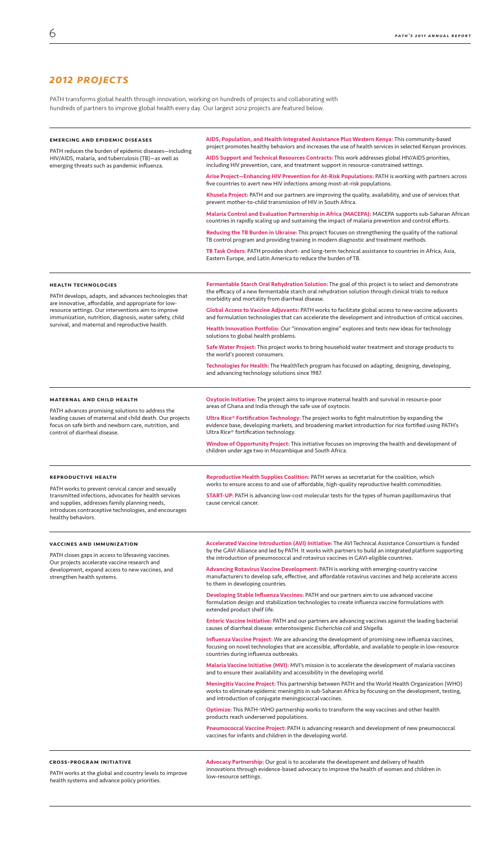# *2012 projects*

PATH transforms global health through innovation, working on hundreds of projects and collaborating with hundreds of partners to improve global health every day. Our largest 2012 projects are featured below.

| <b>EMERGING AND EPIDEMIC DISEASES</b><br>PATH reduces the burden of epidemic diseases-including<br>HIV/AIDS, malaria, and tuberculosis (TB)-as well as<br>emerging threats such as pandemic influenza.                                                                                                           | AIDS, Population, and Health Integrated Assistance Plus Western Kenya: This community-based<br>project promotes healthy behaviors and increases the use of health services in selected Kenyan provinces.                                                              |
|------------------------------------------------------------------------------------------------------------------------------------------------------------------------------------------------------------------------------------------------------------------------------------------------------------------|-----------------------------------------------------------------------------------------------------------------------------------------------------------------------------------------------------------------------------------------------------------------------|
|                                                                                                                                                                                                                                                                                                                  | AIDS Support and Technical Resources Contracts: This work addresses global HIV/AIDS priorities,<br>including HIV prevention, care, and treatment support in resource-constrained settings.                                                                            |
|                                                                                                                                                                                                                                                                                                                  | Arise Project-Enhancing HIV Prevention for At-Risk Populations: PATH is working with partners across<br>five countries to avert new HIV infections among most-at-risk populations.                                                                                    |
|                                                                                                                                                                                                                                                                                                                  | Khusela Project: PATH and our partners are improving the quality, availability, and use of services that<br>prevent mother-to-child transmission of HIV in South Africa.                                                                                              |
|                                                                                                                                                                                                                                                                                                                  | Malaria Control and Evaluation Partnership in Africa (MACEPA): MACEPA supports sub-Saharan African<br>countries in rapidly scaling up and sustaining the impact of malaria prevention and control efforts.                                                            |
|                                                                                                                                                                                                                                                                                                                  | Reducing the TB Burden in Ukraine: This project focuses on strengthening the quality of the national<br>TB control program and providing training in modern diagnostic and treatment methods.                                                                         |
|                                                                                                                                                                                                                                                                                                                  | TB Task Orders: PATH provides short- and long-term technical assistance to countries in Africa, Asia,<br>Eastern Europe, and Latin America to reduce the burden of TB.                                                                                                |
| <b>HEALTH TECHNOLOGIES</b><br>PATH develops, adapts, and advances technologies that<br>are innovative, affordable, and appropriate for low-<br>resource settings. Our interventions aim to improve<br>immunization, nutrition, diagnosis, water safety, child<br>survival, and maternal and reproductive health. | <b>Fermentable Starch Oral Rehydration Solution:</b> The goal of this project is to select and demonstrate<br>the efficacy of a new fermentable starch oral rehydration solution through clinical trials to reduce<br>morbidity and mortality from diarrheal disease. |
|                                                                                                                                                                                                                                                                                                                  | Global Access to Vaccine Adjuvants: PATH works to facilitate global access to new vaccine adjuvants<br>and formulation technologies that can accelerate the development and introduction of critical vaccines.                                                        |
|                                                                                                                                                                                                                                                                                                                  | Health Innovation Portfolio: Our "innovation engine" explores and tests new ideas for technology<br>solutions to global health problems.                                                                                                                              |
|                                                                                                                                                                                                                                                                                                                  | Safe Water Project: This project works to bring household water treatment and storage products to<br>the world's poorest consumers.                                                                                                                                   |
|                                                                                                                                                                                                                                                                                                                  | Technologies for Health: The HealthTech program has focused on adapting, designing, developing,<br>and advancing technology solutions since 1987.                                                                                                                     |
| <b>MATERNAL AND CHILD HEALTH</b><br>PATH advances promising solutions to address the<br>leading causes of maternal and child death. Our projects<br>focus on safe birth and newborn care, nutrition, and<br>control of diarrheal disease.                                                                        | Oxytocin Initiative: The project aims to improve maternal health and survival in resource-poor<br>areas of Ghana and India through the safe use of oxytocin.                                                                                                          |
|                                                                                                                                                                                                                                                                                                                  | Ultra Rice® Fortification Technology: The project works to fight malnutrition by expanding the<br>evidence base, developing markets, and broadening market introduction for rice fortified using PATH's<br>Ultra Rice® fortification technology.                      |
|                                                                                                                                                                                                                                                                                                                  | Window of Opportunity Project: This initiative focuses on improving the health and development of                                                                                                                                                                     |

Advocacy Partnership: Our goal is to accelerate the development and delivery of health innovations through evidence-based advocacy to improve the health of women and children in low-resource settings.

#### reproductive health

PATH works to prevent cervical cancer and sexually transmitted infections, advocates for health services and supplies, addresses family planning needs, introduces contraceptive technologies, and encourages healthy behaviors.

Reproductive Health Supplies Coalition: PATH serves as secretariat for the coalition, which works to ensure access to and use of affordable, high-quality reproductive health commodities.

START-UP: PATH is advancing low-cost molecular tests for the types of human papillomavirus that cause cervical cancer.

#### vaccines and immunization

PATH closes gaps in access to lifesaving vaccines. Our projects accelerate vaccine research and development, expand access to new vaccines, and strengthen health systems.

Accelerated Vaccine Introduction (AVI) Initiative: The AVI Technical Assistance Consortium is funded by the GAVI Alliance and led by PATH. It works with partners to build an integrated platform supporting the introduction of pneumococcal and rotavirus vaccines in GAVI-eligible countries.

Advancing Rotavirus Vaccine Development: PATH is working with emerging-country vaccine manufacturers to develop safe, effective, and affordable rotavirus vaccines and help accelerate access to them in developing countries.

Developing Stable Influenza Vaccines: PATH and our partners aim to use advanced vaccine formulation design and stabilization technologies to create influenza vaccine formulations with extended product shelf life.

Enteric Vaccine Initiative: PATH and our partners are advancing vaccines against the leading bacterial causes of diarrheal disease: enterotoxigenic *Escherichia coli* and *Shigella.*

Influenza Vaccine Project: We are advancing the development of promising new influenza vaccines, focusing on novel technologies that are accessible, affordable, and available to people in low-resource countries during influenza outbreaks.

Malaria Vaccine Initiative (MVI): MVI's mission is to accelerate the development of malaria vaccines and to ensure their availability and accessibility in the developing world.

Meningitis Vaccine Project: This partnership between PATH and the World Health Organization (WHO) works to eliminate epidemic meningitis in sub-Saharan Africa by focusing on the development, testing, and introduction of conjugate meningococcal vaccines.

Optimize: This PATH–WHO partnership works to transform the way vaccines and other health products reach underserved populations.

Pneumococcal Vaccine Project: PATH is advancing research and development of new pneumococcal vaccines for infants and children in the developing world.

#### cross-program initiative

PATH works at the global and country levels to improve health systems and advance policy priorities.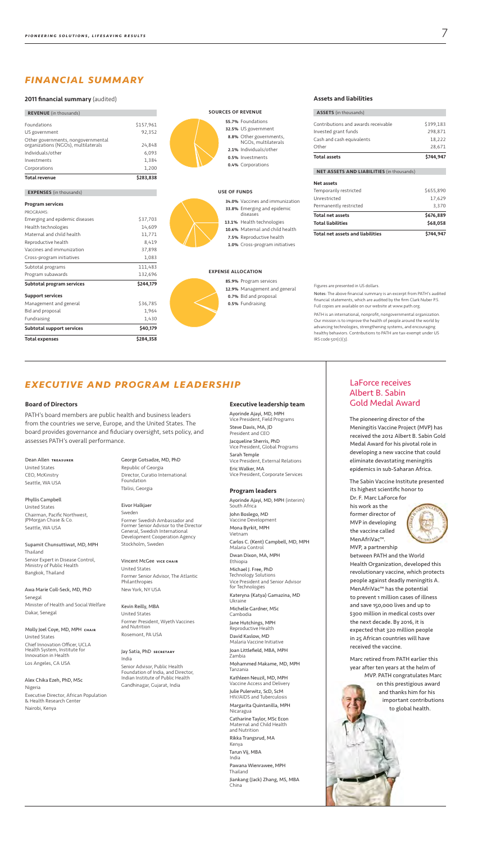#### Dean Allen treasurer

United States CEO, McKinstry Seattle, WA USA

Phyllis Campbell United States Chairman, Pacific Northwest, JPMorgan Chase & Co. Seattle, WA USA

#### Molly Joel Coye, MD, MPН снаів United States

Supamit Chunsuttiwat, MD, MPH Thailand Senior Expert in Disease Control, Ministry of Public Health Bangkok, Thailand

Awa Marie Coll-Seck, MD, PhD Senegal Minister of Health and Social Welfare Dakar, Senegal

Chief Innovation Officer, UCLA Health System, Institute for Innovation in Health Los Angeles, CA USA

Alex Chika Ezeh, PhD, MSc

Nigeria

Executive Director, African Population & Health Research Center

Nairobi, Kenya

#### Jay Satia, PhD SECRETARY

George Gotsadze, MD, PhD Republic of Georgia Director, Curatio International Foundation Tbilisi, Georgia

#### Eivor Halkjaer Sweden

Former Swedish Ambassador and Former Senior Advisor to the Director General, Swedish International Development Cooperation Agency Stockholm, Sweden

# Vincent McGee vice chair

United States Former Senior Advisor, The Atlantic Philanthropies New York, NY USA

Kevin Reilly, MBA United States r President, Wyeth Vaccines and Nutrition Rosemont, PA USA

India

Senior Advisor, Public Health Foundation of India, and Director, Indian Institute of Public Health

PATH is an international, nonprofit, nongovernmental organization. Our mission is to improve the health of people around the world by advancing technologies, strengthening systems, and encouraging healthy behaviors. Contributions to PATH are tax-exempt under US  $IRS code$   $501(c)(3)$ .

Gandhinagar, Gujarat, India

# *executive and program leadership*

#### Board of Directors

- NGOs, multilaterals 1% Individuals/other
- 5% Investments
- 4% Corporations

#### **F FUNDS**

PATH's board members are public health and business leaders from the countries we serve, Europe, and the United States. The board provides governance and fiduciary oversight, sets policy, and assesses PATH's overall performance.

# *financial summary*

#### 2011 financial summary (audited)

| \$40,179<br>Subtotal support services                                               |
|-------------------------------------------------------------------------------------|
|                                                                                     |
| Fundraising<br>1,430                                                                |
| Bid and proposal<br>1,964                                                           |
| \$36,785<br>Management and general                                                  |
| <b>Support services</b>                                                             |
| \$244,179<br>Subtotal program services                                              |
| Program subawards<br>132,696                                                        |
| 111,483<br>Subtotal programs                                                        |
| 1,083<br>Cross-program initiatives                                                  |
| Vaccines and immunization<br>37,898                                                 |
| Reproductive health<br>8,419                                                        |
| Maternal and child health<br>11,771                                                 |
| Health technologies<br>14,609                                                       |
| \$37,703<br>Emerging and epidemic diseases                                          |
| PROGRAMS:                                                                           |
| <b>Program services</b>                                                             |
| <b>EXPENSES</b> (in thousands)                                                      |
| <b>Total revenue</b><br>\$283,838                                                   |
| Corporations<br>1,200                                                               |
| 1,384<br>Investments                                                                |
| Individuals/other<br>6,093                                                          |
| Other governments, nongovernmental<br>organizations (NGOs), multilaterals<br>24,848 |
| 92,352<br>US government                                                             |
| Foundations<br>\$157,961                                                            |
| <b>REVENUE</b> (in thousands)                                                       |

# 7% Foundations **3%** Vaccines and immunization 8% Emerging and epidemic

#### Figures are presented in US dollars.

Notes: The above financial summary is an excerpt from PATH's audited financial statements, which are audited by the firm Clark Nuber P.S. Full copies are available on our website at www.path.org.

# Sources of revenue

#### 5% US government 8% Other governments,

#### diseases 1% Health technologies

6% Maternal and child health

5% Reproductive health

0% Cross-program initiatives

# **ALLOCATION**

- 9% Program services 9% Management and general 7% Bid and proposal
- 5% Fundraising

#### Assets and liabilities

ACCESS  $(x, t)$ 

| ASSETS (In thousands)                            |           |
|--------------------------------------------------|-----------|
| Contributions and awards receivable              | \$399,183 |
| Invested grant funds                             | 298,871   |
| Cash and cash equivalents                        | 18,222    |
| Other                                            | 28,671    |
| <b>Total assets</b>                              | \$744.947 |
| <b>NET ASSETS AND LIABILITIES (in thousands)</b> |           |
| <b>Net assets</b>                                |           |
| Temporarily restricted                           | \$655,890 |
| .                                                | 17/20     |

| Total net assets and liabilities | \$744.947 |  |
|----------------------------------|-----------|--|
| Total liabilities                | \$68,058  |  |
| Total net assets                 | \$676.889 |  |
| Permanently restricted           | 3.370     |  |
| Unrestricted                     | 17.629    |  |
|                                  |           |  |

# LaForce receives Albert B. Sabin Gold Medal Award

The pioneering director of the Meningitis Vaccine Project (MVP) has received the 2012 Albert B. Sabin Gold Medal Award for his pivotal role in developing a new vaccine that could eliminate devastating meningitis epidemics in sub-Saharan Africa.

The Sabin Vaccine Institute presented its highest scientific honor to

Dr. F. Marc LaForce for his work as the former director of MVP in developing the vaccine called MenAfriVac™.



MVP, a partnership between PATH and the World Health Organization, developed this revolutionary vaccine, which protects people against deadly meningitis A. MenAfriVac™ has the potential to prevent 1 million cases of illness and save 150,000 lives and up to \$300 million in medical costs over

the next decade. By 2016, it is expected that 320 million people in 25 African countries will have received the vaccine.

Marc retired from PATH earlier this year after ten years at the helm of MVP. PATH congratulates Marc on this prestigious award and thanks him for his important contributions to global health.



#### Executive leadership team

Ayorinde Ajayi, MD, MPH Vice President, Field Programs Steve Davis, MA, JD President and CEO Jacqueline Sherris, PhD Vice President, Global Programs Sarah Temple Vice President, External Relations Eric Walker, MA Vice President, Corporate Services

#### Program leaders

Ayorinde Ajayi, MD, MPH (interim) South Africa John Boslego, MD Vaccine Development Mona Byrkit, MPH Vietnam Carlos C. (Kent) Campbell, MD, MPH Malaria Control Dwan Dixon, MA, MPH Ethiopia Michael J. Free, PhD Technology Solutions Vice President and Senior Advisor for Technologies Kateryna (Katya) Gamazina, MD Ukraine

Michelle Gardner, MSc Cambodia Jane Hutchings, MPH

Reproductive Health David Kaslow, MD Malaria Vaccine Initiative Joan Littlefield, MBA, MPH

Zambia

Mohammed Makame, MD, MPH

Tanzania

Kathleen Neuzil, MD, MPH Vaccine Access and Delivery

Julie Pulerwitz, ScD, ScM

HIV/AIDS and Tuberculosis Margarita Quintanilla, MPH Nicaragua

Catharine Taylor, MSc Econ Maternal and Child Health and Nutrition

Rikka Trangsrud, MA Kenya

Tarun Vij, MBA India

Pawana Wienrawee, MPH Thailand

Jiankang (Jack) Zhang, MS, MBA China